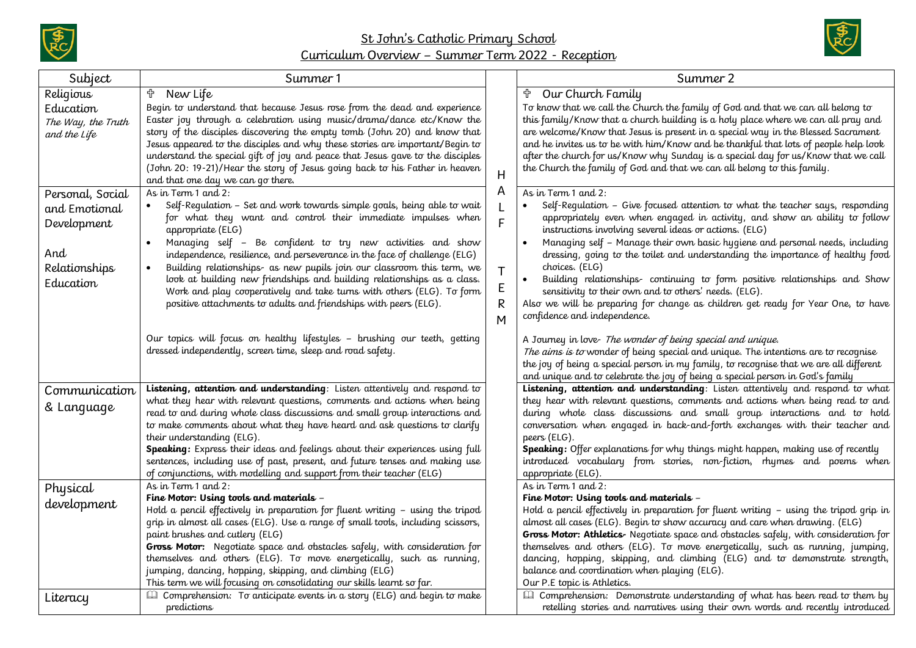



| Subject                                                      | Summer 1                                                                                                                                                                                                                                                                                                                                                                                                               |             | Summer 2                                                                                                                                                                                                                                                                                                                                                                                                                                                  |
|--------------------------------------------------------------|------------------------------------------------------------------------------------------------------------------------------------------------------------------------------------------------------------------------------------------------------------------------------------------------------------------------------------------------------------------------------------------------------------------------|-------------|-----------------------------------------------------------------------------------------------------------------------------------------------------------------------------------------------------------------------------------------------------------------------------------------------------------------------------------------------------------------------------------------------------------------------------------------------------------|
| Religious<br>Education<br>The Way, the Truth<br>and the Life | <b>the New Life</b><br>Begin to understand that because Jesus rose from the dead and experience<br>Easter joy through a celebration using music/drama/dance etc/Know the<br>story of the disciples discovering the empty tomb (John 20) and know that<br>Jesus appeared to the disciples and why these stories are important/Begin to<br>understand the special gift of joy and peace that Jesus gave to the disciples |             | Our Church Family<br>To know that we call the Church the family of God and that we can all belong to<br>this family/Know that a church building is a holy place where we can all pray and<br>are welcome/Know that Jesus is present in a special way in the Blessed Sacrament<br>and he invites us to be with him/Know and be thankful that lots of people help look<br>after the church for us/Know why Sunday is a special day for us/Know that we call |
| Personal, Social<br>and Emotional                            | (John 20: 19-21)/Hear the story of Jesus going back to his Father in heaven<br>and that one day we can go there.<br>As in Term 1 and 2:<br>Self-Regulation – Set and work towards simple goals, being able to wait                                                                                                                                                                                                     | H<br>Α      | the Church the family of God and that we can all belong to this family.<br>As in Term 1 and 2:<br>Self-Regulation - Give focused attention to what the teacher says, responding                                                                                                                                                                                                                                                                           |
| Development<br>And<br>Relationships                          | for what they want and control their immediate impulses when<br>appropriate (ELG)<br>Managing self - Be confident to try new activities and show<br>independence, resilience, and perseverance in the face of challenge (ELG)<br>Building relationships- as new pupils join our classroom this term, we                                                                                                                | F<br>T      | appropriately even when engaged in activity, and show an ability to follow<br>instructions involving several ideas or actions. (ELG)<br>Managing self - Manage their own basic hygiene and personal needs, including<br>dressing, going to the toilet and understanding the importance of healthy food<br>choices. (ELG)                                                                                                                                  |
| Education                                                    | look at building new friendships and building relationships as a class.<br>Work and play cooperatively and take turns with others (ELG). To form<br>positive attachments to adults and friendships with peers (ELG).                                                                                                                                                                                                   | E<br>R<br>M | Building relationships- continuing to form positive relationships and Show<br>$\bullet$<br>sensitivity to their own and to others' needs. (ELG).<br>Also we will be preparing for change as children get ready for Year One, to have<br>confidence and independence.                                                                                                                                                                                      |
|                                                              | Our topics will focus on healthy lifestyles - brushing our teeth, getting<br>dressed independently, screen time, sleep and road safety.                                                                                                                                                                                                                                                                                |             | A Journey in love- The wonder of being special and unique.<br>The aims is to wonder of being special and unique. The intentions are to recognise<br>the joy of being a special person in my family, to recognise that we are all different<br>and unique and to celebrate the joy of being a special person in God's family                                                                                                                               |
| Communication<br>& Language                                  | Listening, attention and understanding: Listen attentively and respond to<br>what they hear with relevant questions, comments and actions when being<br>read to and during whole class discussions and small group interactions and<br>to make comments about what they have heard and ask questions to clarify<br>their understanding (ELG).                                                                          |             | Listening, attention and understanding: Listen attentively and respond to what<br>they hear with relevant questions, comments and actions when being read to and<br>during whole class discussions and small group interactions and to hold<br>conversation when engaged in back-and-forth exchanges with their teacher and<br>peers (ELG).                                                                                                               |
|                                                              | <b>Speaking:</b> Express their ideas and feelings about their experiences using full<br>sentences, including use of past, present, and future tenses and making use<br>of conjunctions, with modelling and support from their teacher (ELG)<br>As in Term 1 and 2:                                                                                                                                                     |             | <b>Speaking:</b> Offer explanations for why things might happen, making use of recently<br>introduced vocabulary from stories, non-fiction, rhymes and poems when<br>appropriate (ELG).<br>As in Term 1 and 2:                                                                                                                                                                                                                                            |
| Physical<br>development                                      | Fine Motor: Using tools and materials –<br>Hold a pencil effectively in preparation for fluent writing - using the tripod<br>grip in almost all cases (ELG). Use a range of small tools, including scissors,<br>paint brushes and cutlery (ELG)                                                                                                                                                                        |             | Fine Motor: Using tools and materials –<br>Hold a pencil effectively in preparation for fluent writing - using the tripod grip in<br>almost all cases (ELG). Begin to show accuracy and care when drawing. (ELG)<br>Gross Motor: Athletics- Negotiate space and obstacles safely, with consideration for                                                                                                                                                  |
| Literacy                                                     | Gross Motor: Negotiate space and obstacles safely, with consideration for<br>themselves and others (ELG). To move energetically, such as running,<br>jumping, dancing, hopping, skipping, and climbing (ELG)<br>This term we will focusing on consolidating our skills learnt so far.<br><b>El</b> Comprehension: To anticipate events in a story (ELG) and begin to make                                              |             | themselves and others (ELG). To move energetically, such as running, jumping,<br>dancing, hopping, skipping, and climbing (ELG) and to demonstrate strength,<br>balance and coordination when playing (ELG).<br>Our P.E topic is Athletics.<br><b>Ell</b> Comprehension: Demonstrate understanding of what has been read to them by                                                                                                                       |
|                                                              | predictions                                                                                                                                                                                                                                                                                                                                                                                                            |             | retelling stories and narratives using their own words and recently introduced                                                                                                                                                                                                                                                                                                                                                                            |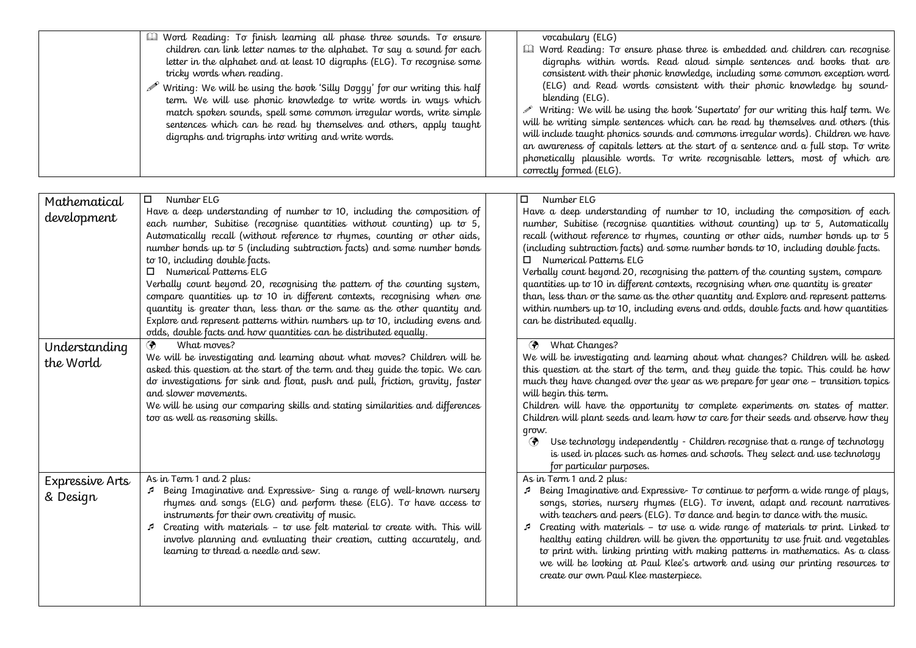|                             | I Word Reading: To finish learning all phase three sounds. To ensure<br>children can link letter names to the alphabet. To say a sound for each<br>letter in the alphabet and at least 10 digraphs (ELG). To recognise some<br>tricky words when reading.<br>$\mathscr{P}$ Writing: We will be using the book 'Silly Doggy' for our writing this half<br>term. We will use phonic knowledge to write words in ways which<br>match spoken sounds, spell some common irregular words, write simple<br>sentences which can be read by themselves and others, apply taught<br>digraphs and trigraphs into writing and write words.                                                                                                                                                                  | vocabulary (ELG)<br><b>III</b> Word Reading: To ensure phase three is embedded and children can recognise<br>digraphs within words. Read aloud simple sentences and books that are<br>consistent with their phonic knowledge, including some common exception word<br>(ELG) and Read words consistent with their phonic knowledge by sound-<br>blending (ELG).<br>Writing: We will be using the book 'Supertato' for our writing this half term. We<br>will be writing simple sentences which can be read by themselves and others (this<br>will include taught phonics sounds and commons irregular words). Children we have<br>an awareness of capitals letters at the start of a sentence and a full stop. To write<br>phonetically plausible words. To write recognisable letters, most of which are<br>correctly formed (ELG). |
|-----------------------------|-------------------------------------------------------------------------------------------------------------------------------------------------------------------------------------------------------------------------------------------------------------------------------------------------------------------------------------------------------------------------------------------------------------------------------------------------------------------------------------------------------------------------------------------------------------------------------------------------------------------------------------------------------------------------------------------------------------------------------------------------------------------------------------------------|-------------------------------------------------------------------------------------------------------------------------------------------------------------------------------------------------------------------------------------------------------------------------------------------------------------------------------------------------------------------------------------------------------------------------------------------------------------------------------------------------------------------------------------------------------------------------------------------------------------------------------------------------------------------------------------------------------------------------------------------------------------------------------------------------------------------------------------|
| Mathematical<br>development | Number ELG<br>$\Box$<br>Have a deep understanding of number to 10, including the composition of<br>each number, Subitise (recognise quantities without counting) up to 5,<br>Automatically recall (without reference to rhymes, counting or other aids,<br>number bonds up to 5 (including subtraction facts) and some number bonds<br>to 10, including double facts.<br>$\Box$ Numerical Patterns ELG<br>Verbally count beyond 20, recognising the pattern of the counting system,<br>compare quantities up to 10 in different contexts, recognising when one<br>quantity is greater than, less than or the same as the other quantity and<br>Explore and represent patterns within numbers up to 10, including evens and<br>odds, double facts and how quantities can be distributed equally. | Number ELG<br>Have a deep understanding of number to 10, including the composition of each<br>number, Subitise (recognise quantities without counting) up to 5, Automatically<br>recall (without reference to rhymes, counting or other aids, number bonds up to 5<br>(including subtraction facts) and some number bonds to 10, including double facts.<br>Numerical Patterns ELG<br>□.<br>Verbally count beyond 20, recognising the pattern of the counting system, compare<br>quantities up to 10 in different contexts, recognising when one quantity is greater<br>than, less than or the same as the other quantity and Explore and represent patterns<br>within numbers up to 10, including evens and odds, double facts and how quantities<br>can be distributed equally.                                                   |
| Understanding<br>the World  | What moves?<br>◈<br>We will be investigating and learning about what moves? Children will be<br>asked this question at the start of the term and they guide the topic. We can<br>do investigations for sink and float, push and pull, friction, gravity, faster<br>and slower movements.<br>We will be using our comparing skills and stating similarities and differences<br>too as well as reasoning skills.                                                                                                                                                                                                                                                                                                                                                                                  | <b>1</b> What Changes?<br>We will be investigating and learning about what changes? Children will be asked<br>this question at the start of the term, and they guide the topic. This could be how<br>much they have changed over the year as we prepare for year one - transition topics<br>will begin this term.<br>Children will have the opportunity to complete experiments on states of matter.<br>Children will plant seeds and learn how to care for their seeds and observe how they<br>qrow.<br>Use technology independently - Children recognise that a range of technology<br>◈<br>is used in places such as homes and schools. They select and use technology<br>for particular purposes.                                                                                                                               |
| Expressive Arts<br>& Design | As in Term 1 and 2 plus:<br>Being Imaginative and Expressive-Sing a range of well-known nursery<br>rhymes and songs (ELG) and perform these (ELG). To have access to<br>instruments for their own creativity of music.<br>↓ Creating with materials - to use felt material to create with. This will<br>involve planning and evaluating their creation, cutting accurately, and<br>learning to thread a needle and sew.                                                                                                                                                                                                                                                                                                                                                                         | As in Term 1 and 2 plus:<br>Being Imaginative and Expressive- To continue to perform a wide range of plays,<br>songs, stories, nursery rhymes (ELG). To invent, adapt and recount narratives<br>with teachers and peers (ELG). To dance and begin to dance with the music.<br>↓ Creating with materials - to use a wide range of materials to print. Linked to<br>healthy eating children will be given the opportunity to use fruit and vegetables<br>to print with. linking printing with making patterns in mathematics. As a class<br>we will be looking at Paul Klee's artwork and using our printing resources to<br>create our own Paul Klee masterpiece.                                                                                                                                                                    |